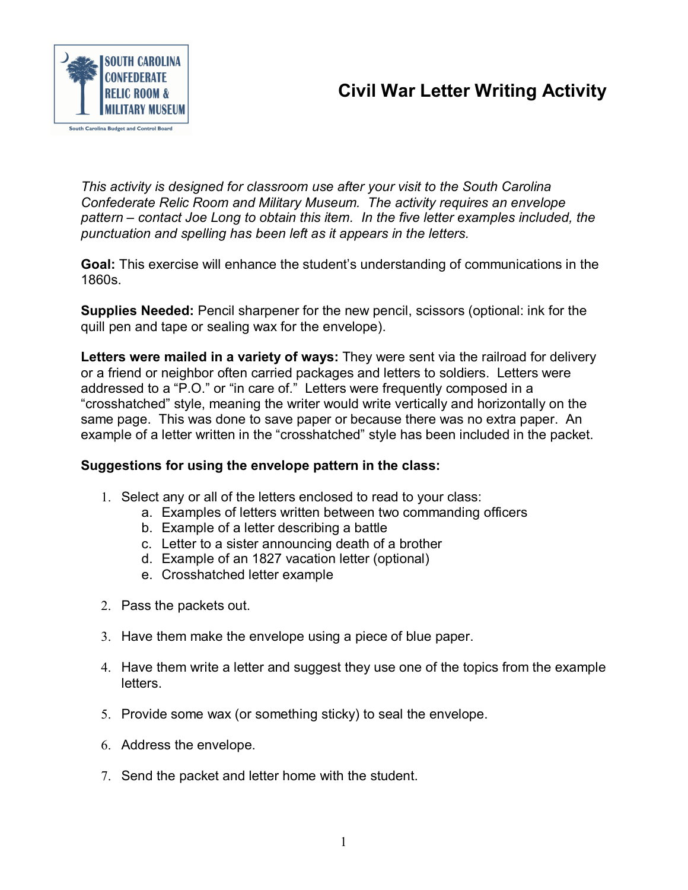# **Civil War Letter Writing Activity**



*This activity is designed for classroom use after your visit to the South Carolina Confederate Relic Room and Military Museum. The activity requires an envelope pattern – contact Joe Long to obtain this item. In the five letter examples included, the punctuation and spelling has been left as it appears in the letters.*

**Goal:** This exercise will enhance the student's understanding of communications in the 1860s.

**Supplies Needed:** Pencil sharpener for the new pencil, scissors (optional: ink for the quill pen and tape or sealing wax for the envelope).

**Letters were mailed in a variety of ways:** They were sent via the railroad for delivery or a friend or neighbor often carried packages and letters to soldiers. Letters were addressed to a "P.O." or "in care of." Letters were frequently composed in a "crosshatched" style, meaning the writer would write vertically and horizontally on the same page. This was done to save paper or because there was no extra paper. An example of a letter written in the "crosshatched" style has been included in the packet.

# **Suggestions for using the envelope pattern in the class:**

- 1. Select any or all of the letters enclosed to read to your class:
	- a. Examples of letters written between two commanding officers
	- b. Example of a letter describing a battle
	- c. Letter to a sister announcing death of a brother
	- d. Example of an 1827 vacation letter (optional)
	- e. Crosshatched letter example
- 2. Pass the packets out.
- 3. Have them make the envelope using a piece of blue paper.
- 4. Have them write a letter and suggest they use one of the topics from the example letters.
- 5. Provide some wax (or something sticky) to seal the envelope.
- 6. Address the envelope.
- 7. Send the packet and letter home with the student.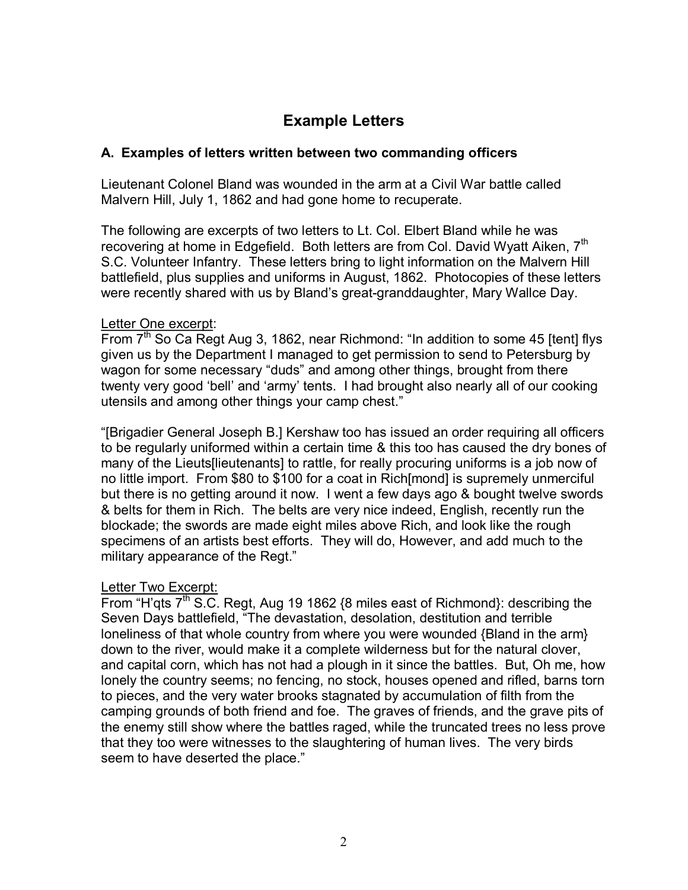# **Example Letters**

### **A. Examples of letters written between two commanding officers**

Lieutenant Colonel Bland was wounded in the arm at a Civil War battle called Malvern Hill, July 1, 1862 and had gone home to recuperate.

The following are excerpts of two letters to Lt. Col. Elbert Bland while he was recovering at home in Edgefield. Both letters are from Col. David Wyatt Aiken, 7<sup>th</sup> S.C. Volunteer Infantry. These letters bring to light information on the Malvern Hill battlefield, plus supplies and uniforms in August, 1862. Photocopies of these letters were recently shared with us by Bland's great-granddaughter, Mary Wallce Day.

#### Letter One excerpt:

From  $7<sup>th</sup>$  So Ca Regt Aug 3, 1862, near Richmond: "In addition to some 45 [tent] flys given us by the Department I managed to get permission to send to Petersburg by wagon for some necessary "duds" and among other things, brought from there twenty very good 'bell' and 'army' tents. I had brought also nearly all of our cooking utensils and among other things your camp chest."

"[Brigadier General Joseph B.] Kershaw too has issued an order requiring all officers to be regularly uniformed within a certain time & this too has caused the dry bones of many of the Lieuts[lieutenants] to rattle, for really procuring uniforms is a job now of no little import. From \$80 to \$100 for a coat in Rich[mond] is supremely unmerciful but there is no getting around it now. I went a few days ago & bought twelve swords & belts for them in Rich. The belts are very nice indeed, English, recently run the blockade; the swords are made eight miles above Rich, and look like the rough specimens of an artists best efforts. They will do, However, and add much to the military appearance of the Regt."

# Letter Two Excerpt:

From "H'gts  $7<sup>th</sup>$  S.C. Regt, Aug 19 1862 {8 miles east of Richmond}: describing the Seven Days battlefield, "The devastation, desolation, destitution and terrible loneliness of that whole country from where you were wounded {Bland in the arm} down to the river, would make it a complete wilderness but for the natural clover, and capital corn, which has not had a plough in it since the battles. But, Oh me, how lonely the country seems; no fencing, no stock, houses opened and rifled, barns torn to pieces, and the very water brooks stagnated by accumulation of filth from the camping grounds of both friend and foe. The graves of friends, and the grave pits of the enemy still show where the battles raged, while the truncated trees no less prove that they too were witnesses to the slaughtering of human lives. The very birds seem to have deserted the place."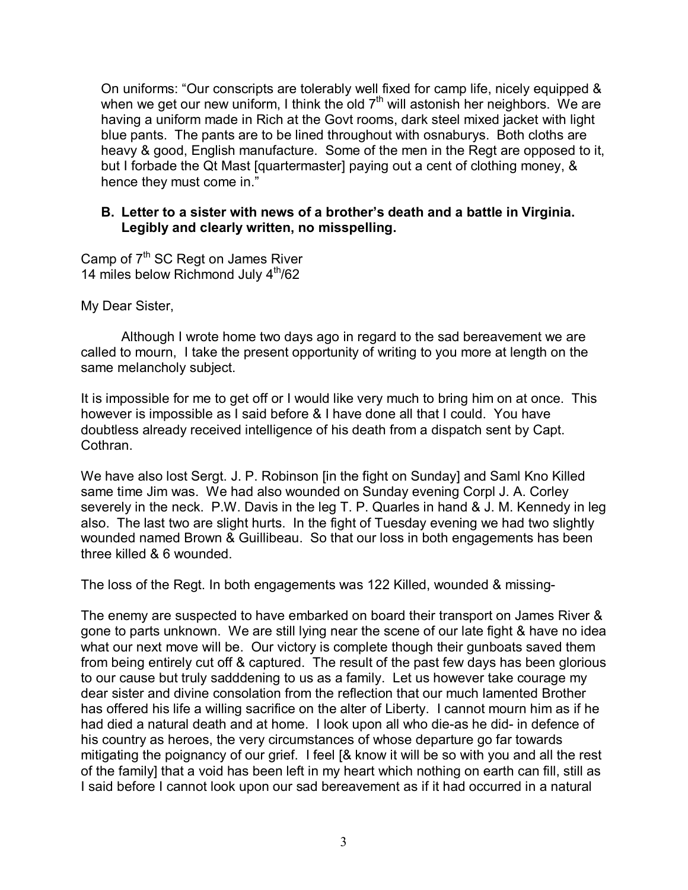On uniforms: "Our conscripts are tolerably well fixed for camp life, nicely equipped & when we get our new uniform, I think the old  $7<sup>th</sup>$  will astonish her neighbors. We are having a uniform made in Rich at the Govt rooms, dark steel mixed jacket with light blue pants. The pants are to be lined throughout with osnaburys. Both cloths are heavy & good, English manufacture. Some of the men in the Regt are opposed to it, but I forbade the Qt Mast [quartermaster] paying out a cent of clothing money, & hence they must come in."

#### **B. Letter to a sister with news of a brother's death and a battle in Virginia. Legibly and clearly written, no misspelling.**

Camp of 7<sup>th</sup> SC Regt on James River 14 miles below Richmond July  $4<sup>th</sup>/62$ 

My Dear Sister,

Although I wrote home two days ago in regard to the sad bereavement we are called to mourn, I take the present opportunity of writing to you more at length on the same melancholy subject.

It is impossible for me to get off or I would like very much to bring him on at once. This however is impossible as I said before & I have done all that I could. You have doubtless already received intelligence of his death from a dispatch sent by Capt. Cothran.

We have also lost Sergt. J. P. Robinson [in the fight on Sunday] and Saml Kno Killed same time Jim was. We had also wounded on Sunday evening Corpl J. A. Corley severely in the neck. P.W. Davis in the leg T. P. Quarles in hand & J. M. Kennedy in leg also. The last two are slight hurts. In the fight of Tuesday evening we had two slightly wounded named Brown & Guillibeau. So that our loss in both engagements has been three killed & 6 wounded.

The loss of the Regt. In both engagements was 122 Killed, wounded & missing-

The enemy are suspected to have embarked on board their transport on James River & gone to parts unknown. We are still lying near the scene of our late fight & have no idea what our next move will be. Our victory is complete though their gunboats saved them from being entirely cut off & captured. The result of the past few days has been glorious to our cause but truly sadddening to us as a family. Let us however take courage my dear sister and divine consolation from the reflection that our much lamented Brother has offered his life a willing sacrifice on the alter of Liberty. I cannot mourn him as if he had died a natural death and at home. I look upon all who die-as he did- in defence of his country as heroes, the very circumstances of whose departure go far towards mitigating the poignancy of our grief. I feel [& know it will be so with you and all the rest of the family] that a void has been left in my heart which nothing on earth can fill, still as I said before I cannot look upon our sad bereavement as if it had occurred in a natural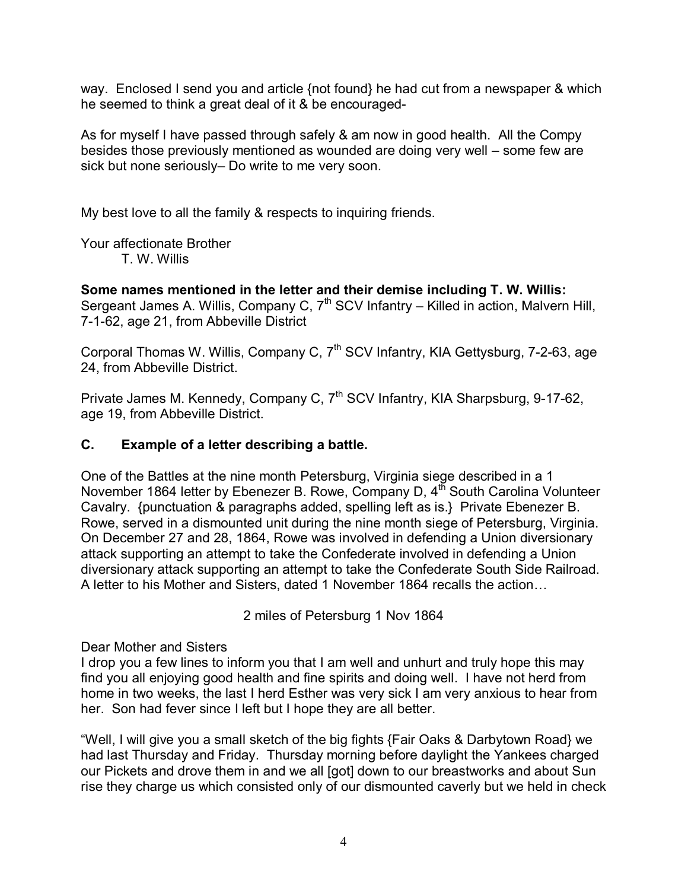way. Enclosed I send you and article {not found} he had cut from a newspaper & which he seemed to think a great deal of it & be encouraged-

As for myself I have passed through safely & am now in good health. All the Compy besides those previously mentioned as wounded are doing very well – some few are sick but none seriously– Do write to me very soon.

My best love to all the family & respects to inquiring friends.

Your affectionate Brother

T. W. Willis

**Some names mentioned in the letter and their demise including T. W. Willis:** Sergeant James A. Willis, Company C,  $7<sup>th</sup>$  SCV Infantry – Killed in action, Malvern Hill, 7-1-62, age 21, from Abbeville District

Corporal Thomas W. Willis, Company C, 7<sup>th</sup> SCV Infantry, KIA Gettysburg, 7-2-63, age 24, from Abbeville District.

Private James M. Kennedy, Company C, 7<sup>th</sup> SCV Infantry, KIA Sharpsburg, 9-17-62, age 19, from Abbeville District.

# **C. Example of a letter describing a battle.**

One of the Battles at the nine month Petersburg, Virginia siege described in a 1 November 1864 letter by Ebenezer B. Rowe, Company D,  $4<sup>th</sup>$  South Carolina Volunteer Cavalry. {punctuation & paragraphs added, spelling left as is.} Private Ebenezer B. Rowe, served in a dismounted unit during the nine month siege of Petersburg, Virginia. On December 27 and 28, 1864, Rowe was involved in defending a Union diversionary attack supporting an attempt to take the Confederate involved in defending a Union diversionary attack supporting an attempt to take the Confederate South Side Railroad. A letter to his Mother and Sisters, dated 1 November 1864 recalls the action…

2 miles of Petersburg 1 Nov 1864

Dear Mother and Sisters

I drop you a few lines to inform you that I am well and unhurt and truly hope this may find you all enjoying good health and fine spirits and doing well. I have not herd from home in two weeks, the last I herd Esther was very sick I am very anxious to hear from her. Son had fever since I left but I hope they are all better.

"Well, I will give you a small sketch of the big fights {Fair Oaks & Darbytown Road} we had last Thursday and Friday. Thursday morning before daylight the Yankees charged our Pickets and drove them in and we all [got] down to our breastworks and about Sun rise they charge us which consisted only of our dismounted caverly but we held in check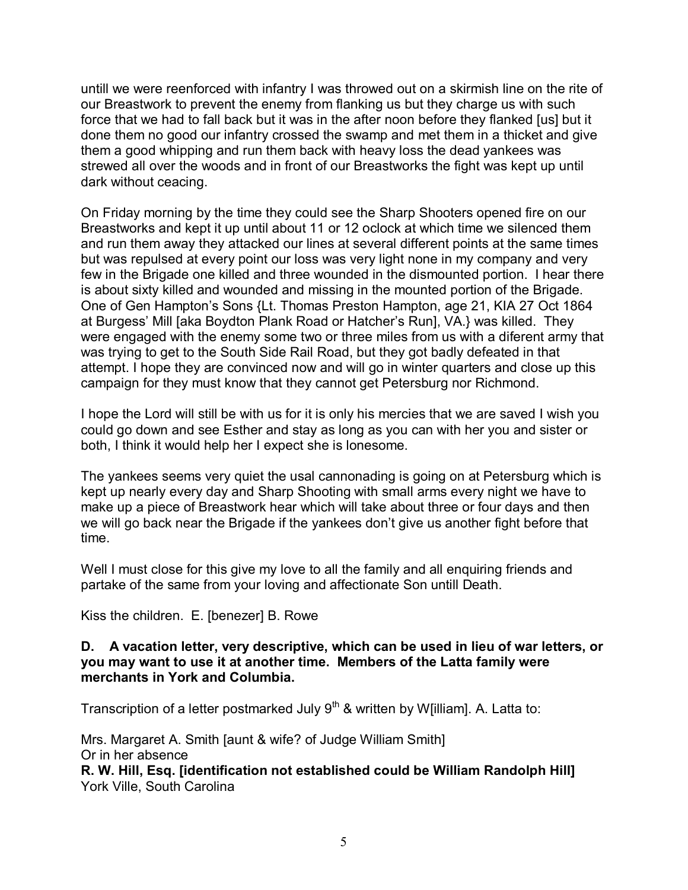untill we were reenforced with infantry I was throwed out on a skirmish line on the rite of our Breastwork to prevent the enemy from flanking us but they charge us with such force that we had to fall back but it was in the after noon before they flanked [us] but it done them no good our infantry crossed the swamp and met them in a thicket and give them a good whipping and run them back with heavy loss the dead yankees was strewed all over the woods and in front of our Breastworks the fight was kept up until dark without ceacing.

On Friday morning by the time they could see the Sharp Shooters opened fire on our Breastworks and kept it up until about 11 or 12 oclock at which time we silenced them and run them away they attacked our lines at several different points at the same times but was repulsed at every point our loss was very light none in my company and very few in the Brigade one killed and three wounded in the dismounted portion. I hear there is about sixty killed and wounded and missing in the mounted portion of the Brigade. One of Gen Hampton's Sons {Lt. Thomas Preston Hampton, age 21, KIA 27 Oct 1864 at Burgess' Mill [aka Boydton Plank Road or Hatcher's Run], VA.} was killed. They were engaged with the enemy some two or three miles from us with a diferent army that was trying to get to the South Side Rail Road, but they got badly defeated in that attempt. I hope they are convinced now and will go in winter quarters and close up this campaign for they must know that they cannot get Petersburg nor Richmond.

I hope the Lord will still be with us for it is only his mercies that we are saved I wish you could go down and see Esther and stay as long as you can with her you and sister or both, I think it would help her I expect she is lonesome.

The yankees seems very quiet the usal cannonading is going on at Petersburg which is kept up nearly every day and Sharp Shooting with small arms every night we have to make up a piece of Breastwork hear which will take about three or four days and then we will go back near the Brigade if the yankees don't give us another fight before that time.

Well I must close for this give my love to all the family and all enquiring friends and partake of the same from your loving and affectionate Son untill Death.

Kiss the children. E. [benezer] B. Rowe

#### **D. A vacation letter, very descriptive, which can be used in lieu of war letters, or you may want to use it at another time. Members of the Latta family were merchants in York and Columbia.**

Transcription of a letter postmarked July  $9<sup>th</sup>$  & written by W[illiam]. A. Latta to:

Mrs. Margaret A. Smith [aunt & wife? of Judge William Smith] Or in her absence

**R. W. Hill, Esq. [identification not established could be William Randolph Hill]** York Ville, South Carolina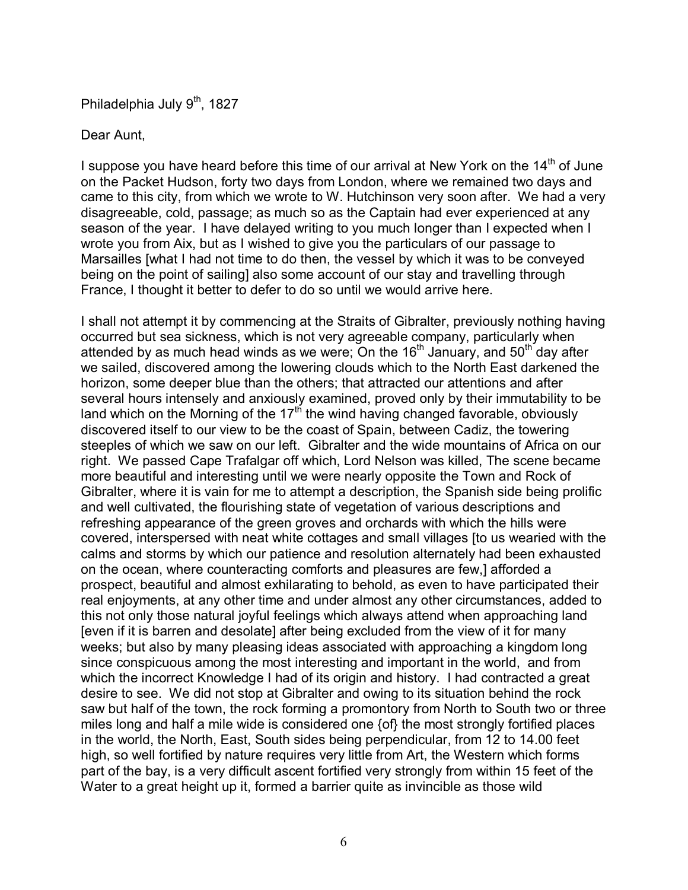Philadelphia July 9<sup>th</sup>, 1827

#### Dear Aunt,

I suppose you have heard before this time of our arrival at New York on the  $14<sup>th</sup>$  of June on the Packet Hudson, forty two days from London, where we remained two days and came to this city, from which we wrote to W. Hutchinson very soon after. We had a very disagreeable, cold, passage; as much so as the Captain had ever experienced at any season of the year. I have delayed writing to you much longer than I expected when I wrote you from Aix, but as I wished to give you the particulars of our passage to Marsailles [what I had not time to do then, the vessel by which it was to be conveyed being on the point of sailing] also some account of our stay and travelling through France, I thought it better to defer to do so until we would arrive here.

I shall not attempt it by commencing at the Straits of Gibralter, previously nothing having occurred but sea sickness, which is not very agreeable company, particularly when attended by as much head winds as we were; On the  $16<sup>th</sup>$  January, and  $50<sup>th</sup>$  day after we sailed, discovered among the lowering clouds which to the North East darkened the horizon, some deeper blue than the others; that attracted our attentions and after several hours intensely and anxiously examined, proved only by their immutability to be land which on the Morning of the  $17<sup>th</sup>$  the wind having changed favorable, obviously discovered itself to our view to be the coast of Spain, between Cadiz, the towering steeples of which we saw on our left. Gibralter and the wide mountains of Africa on our right. We passed Cape Trafalgar off which, Lord Nelson was killed, The scene became more beautiful and interesting until we were nearly opposite the Town and Rock of Gibralter, where it is vain for me to attempt a description, the Spanish side being prolific and well cultivated, the flourishing state of vegetation of various descriptions and refreshing appearance of the green groves and orchards with which the hills were covered, interspersed with neat white cottages and small villages [to us wearied with the calms and storms by which our patience and resolution alternately had been exhausted on the ocean, where counteracting comforts and pleasures are few,] afforded a prospect, beautiful and almost exhilarating to behold, as even to have participated their real enjoyments, at any other time and under almost any other circumstances, added to this not only those natural joyful feelings which always attend when approaching land [even if it is barren and desolate] after being excluded from the view of it for many weeks; but also by many pleasing ideas associated with approaching a kingdom long since conspicuous among the most interesting and important in the world, and from which the incorrect Knowledge I had of its origin and history. I had contracted a great desire to see. We did not stop at Gibralter and owing to its situation behind the rock saw but half of the town, the rock forming a promontory from North to South two or three miles long and half a mile wide is considered one {of} the most strongly fortified places in the world, the North, East, South sides being perpendicular, from 12 to 14.00 feet high, so well fortified by nature requires very little from Art, the Western which forms part of the bay, is a very difficult ascent fortified very strongly from within 15 feet of the Water to a great height up it, formed a barrier quite as invincible as those wild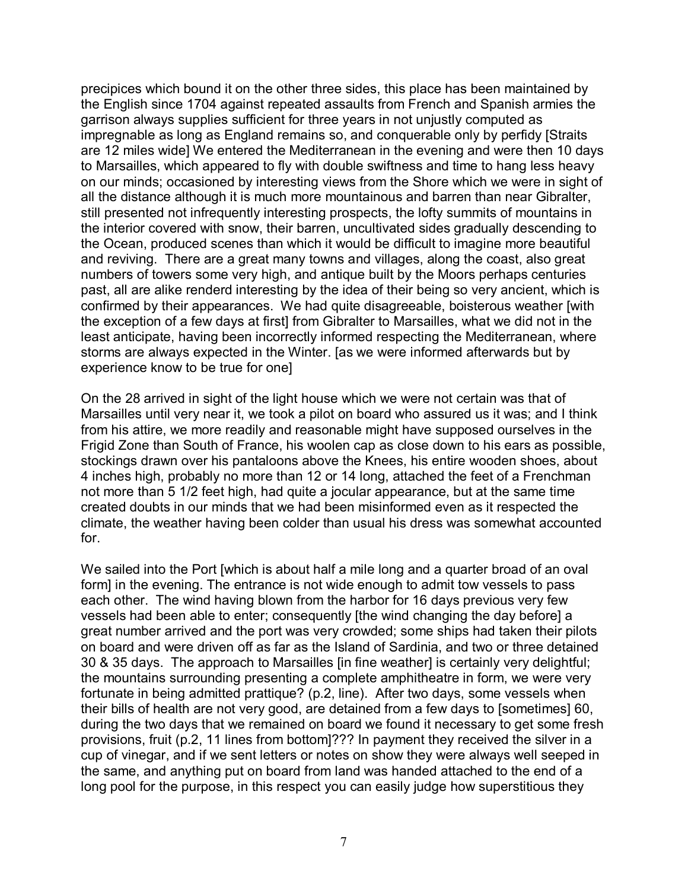precipices which bound it on the other three sides, this place has been maintained by the English since 1704 against repeated assaults from French and Spanish armies the garrison always supplies sufficient for three years in not unjustly computed as impregnable as long as England remains so, and conquerable only by perfidy [Straits are 12 miles wide] We entered the Mediterranean in the evening and were then 10 days to Marsailles, which appeared to fly with double swiftness and time to hang less heavy on our minds; occasioned by interesting views from the Shore which we were in sight of all the distance although it is much more mountainous and barren than near Gibralter, still presented not infrequently interesting prospects, the lofty summits of mountains in the interior covered with snow, their barren, uncultivated sides gradually descending to the Ocean, produced scenes than which it would be difficult to imagine more beautiful and reviving. There are a great many towns and villages, along the coast, also great numbers of towers some very high, and antique built by the Moors perhaps centuries past, all are alike renderd interesting by the idea of their being so very ancient, which is confirmed by their appearances. We had quite disagreeable, boisterous weather [with the exception of a few days at first] from Gibralter to Marsailles, what we did not in the least anticipate, having been incorrectly informed respecting the Mediterranean, where storms are always expected in the Winter. [as we were informed afterwards but by experience know to be true for one]

On the 28 arrived in sight of the light house which we were not certain was that of Marsailles until very near it, we took a pilot on board who assured us it was; and I think from his attire, we more readily and reasonable might have supposed ourselves in the Frigid Zone than South of France, his woolen cap as close down to his ears as possible, stockings drawn over his pantaloons above the Knees, his entire wooden shoes, about 4 inches high, probably no more than 12 or 14 long, attached the feet of a Frenchman not more than 5 1/2 feet high, had quite a jocular appearance, but at the same time created doubts in our minds that we had been misinformed even as it respected the climate, the weather having been colder than usual his dress was somewhat accounted for.

We sailed into the Port [which is about half a mile long and a quarter broad of an oval form] in the evening. The entrance is not wide enough to admit tow vessels to pass each other. The wind having blown from the harbor for 16 days previous very few vessels had been able to enter; consequently [the wind changing the day before] a great number arrived and the port was very crowded; some ships had taken their pilots on board and were driven off as far as the Island of Sardinia, and two or three detained 30 & 35 days. The approach to Marsailles [in fine weather] is certainly very delightful; the mountains surrounding presenting a complete amphitheatre in form, we were very fortunate in being admitted prattique? (p.2, line). After two days, some vessels when their bills of health are not very good, are detained from a few days to [sometimes] 60, during the two days that we remained on board we found it necessary to get some fresh provisions, fruit (p.2, 11 lines from bottom]??? In payment they received the silver in a cup of vinegar, and if we sent letters or notes on show they were always well seeped in the same, and anything put on board from land was handed attached to the end of a long pool for the purpose, in this respect you can easily judge how superstitious they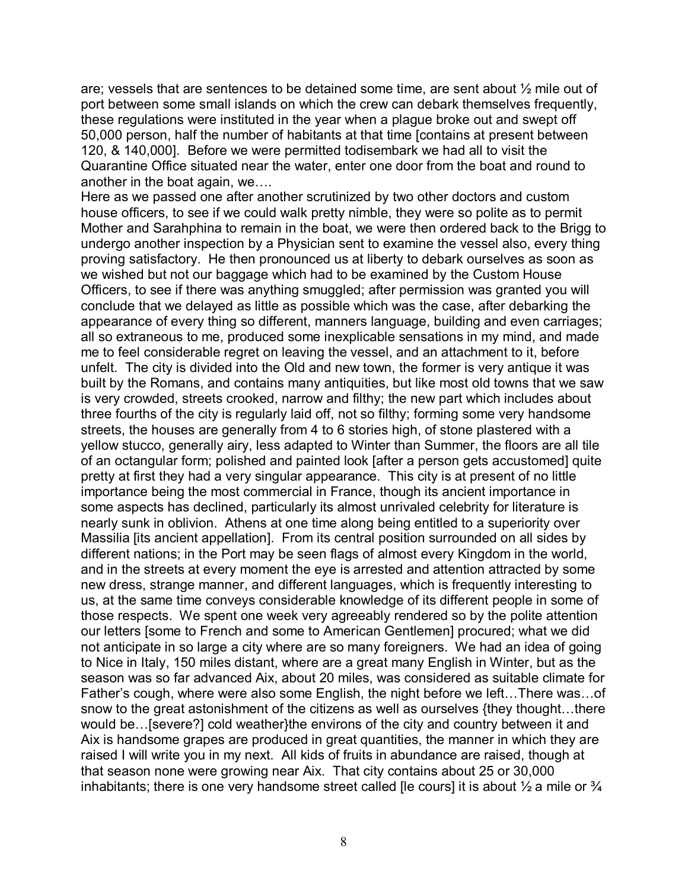are; vessels that are sentences to be detained some time, are sent about ½ mile out of port between some small islands on which the crew can debark themselves frequently, these regulations were instituted in the year when a plague broke out and swept off 50,000 person, half the number of habitants at that time [contains at present between 120, & 140,000]. Before we were permitted todisembark we had all to visit the Quarantine Office situated near the water, enter one door from the boat and round to another in the boat again, we….

Here as we passed one after another scrutinized by two other doctors and custom house officers, to see if we could walk pretty nimble, they were so polite as to permit Mother and Sarahphina to remain in the boat, we were then ordered back to the Brigg to undergo another inspection by a Physician sent to examine the vessel also, every thing proving satisfactory. He then pronounced us at liberty to debark ourselves as soon as we wished but not our baggage which had to be examined by the Custom House Officers, to see if there was anything smuggled; after permission was granted you will conclude that we delayed as little as possible which was the case, after debarking the appearance of every thing so different, manners language, building and even carriages; all so extraneous to me, produced some inexplicable sensations in my mind, and made me to feel considerable regret on leaving the vessel, and an attachment to it, before unfelt. The city is divided into the Old and new town, the former is very antique it was built by the Romans, and contains many antiquities, but like most old towns that we saw is very crowded, streets crooked, narrow and filthy; the new part which includes about three fourths of the city is regularly laid off, not so filthy; forming some very handsome streets, the houses are generally from 4 to 6 stories high, of stone plastered with a yellow stucco, generally airy, less adapted to Winter than Summer, the floors are all tile of an octangular form; polished and painted look [after a person gets accustomed] quite pretty at first they had a very singular appearance. This city is at present of no little importance being the most commercial in France, though its ancient importance in some aspects has declined, particularly its almost unrivaled celebrity for literature is nearly sunk in oblivion. Athens at one time along being entitled to a superiority over Massilia [its ancient appellation]. From its central position surrounded on all sides by different nations; in the Port may be seen flags of almost every Kingdom in the world, and in the streets at every moment the eye is arrested and attention attracted by some new dress, strange manner, and different languages, which is frequently interesting to us, at the same time conveys considerable knowledge of its different people in some of those respects. We spent one week very agreeably rendered so by the polite attention our letters [some to French and some to American Gentlemen] procured; what we did not anticipate in so large a city where are so many foreigners. We had an idea of going to Nice in Italy, 150 miles distant, where are a great many English in Winter, but as the season was so far advanced Aix, about 20 miles, was considered as suitable climate for Father's cough, where were also some English, the night before we left…There was…of snow to the great astonishment of the citizens as well as ourselves {they thought…there would be…[severe?] cold weather}the environs of the city and country between it and Aix is handsome grapes are produced in great quantities, the manner in which they are raised I will write you in my next. All kids of fruits in abundance are raised, though at that season none were growing near Aix. That city contains about 25 or 30,000 inhabitants; there is one very handsome street called [le cours] it is about  $\frac{1}{2}$  a mile or  $\frac{3}{4}$